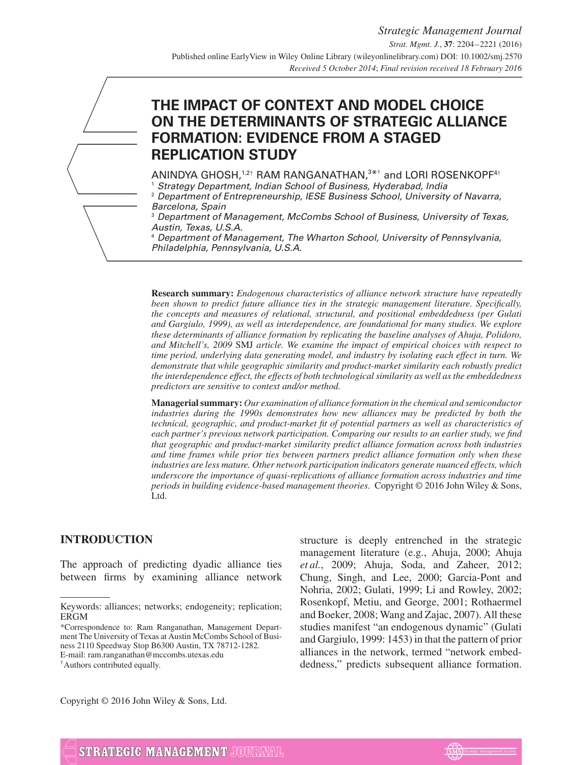# **THE IMPACT OF CONTEXT AND MODEL CHOICE ON THE DETERMINANTS OF STRATEGIC ALLIANCE FORMATION: EVIDENCE FROM A STAGED REPLICATION STUDY**

ANINDYA GHOSH,<sup>1,2†</sup> RAM RANGANATHAN,<sup>3\*†</sup> and LORI ROSENKOPF<sup>4†</sup> <sup>1</sup> Strategy Department, Indian School of Business, Hyderabad, India<br><sup>2</sup> Department of Entrepreneurship JESE Business School, University

<sup>2</sup> Department of Entrepreneurship, IESE Business School, University of Navarra, Barcelona, Spain

<sup>3</sup> Department of Management, McCombs School of Business, University of Texas, Austin, Texas, U.S.A.

<sup>4</sup> Department of Management, The Wharton School, University of Pennsylvania, Philadelphia, Pennsylvania, U.S.A.

**Research summary:** *Endogenous characteristics of alliance network structure have repeatedly been shown to predict future alliance ties in the strategic management literature. Specifically, the concepts and measures of relational, structural, and positional embeddedness (per Gulati and Gargiulo, 1999), as well as interdependence, are foundational for many studies. We explore these determinants of alliance formation by replicating the baseline analyses of Ahuja, Polidoro, and Mitchell's, 2009* SMJ *article. We examine the impact of empirical choices with respect to time period, underlying data generating model, and industry by isolating each effect in turn. We demonstrate that while geographic similarity and product-market similarity each robustly predict the interdependence effect, the effects of both technological similarity as well as the embeddedness predictors are sensitive to context and/or method.*

**Managerial summary:** *Our examination of alliance formation in the chemical and semiconductor industries during the 1990s demonstrates how new alliances may be predicted by both the technical, geographic, and product-market fit of potential partners as well as characteristics of each partner's previous network participation. Comparing our results to an earlier study, we find that geographic and product-market similarity predict alliance formation across both industries and time frames while prior ties between partners predict alliance formation only when these industries are less mature. Other network participation indicators generate nuanced effects, which underscore the importance of quasi-replications of alliance formation across industries and time periods in building evidence-based management theories.* Copyright © 2016 John Wiley & Sons, Ltd.

# **INTRODUCTION**

The approach of predicting dyadic alliance ties between firms by examining alliance network

E-mail: ram.ranganathan@mccombs.utexas.edu

structure is deeply entrenched in the strategic management literature (e.g., Ahuja, 2000; Ahuja *et al.*, 2009; Ahuja, Soda, and Zaheer, 2012; Chung, Singh, and Lee, 2000; Garcia-Pont and Nohria, 2002; Gulati, 1999; Li and Rowley, 2002; Rosenkopf, Metiu, and George, 2001; Rothaermel and Boeker, 2008; Wang and Zajac, 2007). All these studies manifest "an endogenous dynamic" (Gulati and Gargiulo, 1999: 1453) in that the pattern of prior alliances in the network, termed "network embeddedness," predicts subsequent alliance formation.

Copyright © 2016 John Wiley & Sons, Ltd.



Keywords: alliances; networks; endogeneity; replication; ERGM

<sup>\*</sup>Correspondence to: Ram Ranganathan, Management Department The University of Texas at Austin McCombs School of Business 2110 Speedway Stop B6300 Austin, TX 78712-1282.

<sup>†</sup>Authors contributed equally.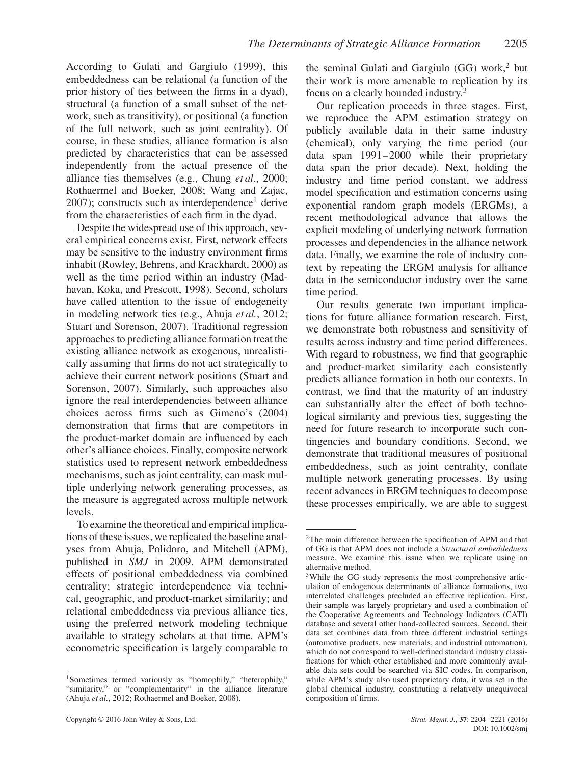According to Gulati and Gargiulo (1999), this embeddedness can be relational (a function of the prior history of ties between the firms in a dyad), structural (a function of a small subset of the network, such as transitivity), or positional (a function of the full network, such as joint centrality). Of course, in these studies, alliance formation is also predicted by characteristics that can be assessed independently from the actual presence of the alliance ties themselves (e.g., Chung *et al.*, 2000; Rothaermel and Boeker, 2008; Wang and Zajac,  $2007$ ); constructs such as interdependence<sup>1</sup> derive from the characteristics of each firm in the dyad.

Despite the widespread use of this approach, several empirical concerns exist. First, network effects may be sensitive to the industry environment firms inhabit (Rowley, Behrens, and Krackhardt, 2000) as well as the time period within an industry (Madhavan, Koka, and Prescott, 1998). Second, scholars have called attention to the issue of endogeneity in modeling network ties (e.g., Ahuja *et al.*, 2012; Stuart and Sorenson, 2007). Traditional regression approaches to predicting alliance formation treat the existing alliance network as exogenous, unrealistically assuming that firms do not act strategically to achieve their current network positions (Stuart and Sorenson, 2007). Similarly, such approaches also ignore the real interdependencies between alliance choices across firms such as Gimeno's (2004) demonstration that firms that are competitors in the product-market domain are influenced by each other's alliance choices. Finally, composite network statistics used to represent network embeddedness mechanisms, such as joint centrality, can mask multiple underlying network generating processes, as the measure is aggregated across multiple network levels.

To examine the theoretical and empirical implications of these issues, we replicated the baseline analyses from Ahuja, Polidoro, and Mitchell (APM), published in *SMJ* in 2009. APM demonstrated effects of positional embeddedness via combined centrality; strategic interdependence via technical, geographic, and product-market similarity; and relational embeddedness via previous alliance ties, using the preferred network modeling technique available to strategy scholars at that time. APM's econometric specification is largely comparable to

Copyright © 2016 John Wiley & Sons, Ltd. *Strat. Mgmt. J.*, **37**: 2204–2221 (2016)

the seminal Gulati and Gargiulo  $(GG)$  work,<sup>2</sup> but their work is more amenable to replication by its focus on a clearly bounded industry.<sup>3</sup>

Our replication proceeds in three stages. First, we reproduce the APM estimation strategy on publicly available data in their same industry (chemical), only varying the time period (our data span 1991–2000 while their proprietary data span the prior decade). Next, holding the industry and time period constant, we address model specification and estimation concerns using exponential random graph models (ERGMs), a recent methodological advance that allows the explicit modeling of underlying network formation processes and dependencies in the alliance network data. Finally, we examine the role of industry context by repeating the ERGM analysis for alliance data in the semiconductor industry over the same time period.

Our results generate two important implications for future alliance formation research. First, we demonstrate both robustness and sensitivity of results across industry and time period differences. With regard to robustness, we find that geographic and product-market similarity each consistently predicts alliance formation in both our contexts. In contrast, we find that the maturity of an industry can substantially alter the effect of both technological similarity and previous ties, suggesting the need for future research to incorporate such contingencies and boundary conditions. Second, we demonstrate that traditional measures of positional embeddedness, such as joint centrality, conflate multiple network generating processes. By using recent advances in ERGM techniques to decompose these processes empirically, we are able to suggest

<sup>&</sup>lt;sup>1</sup>Sometimes termed variously as "homophily," "heterophily," "similarity," or "complementarity" in the alliance literature (Ahuja *et al.*, 2012; Rothaermel and Boeker, 2008).

<sup>2</sup>The main difference between the specification of APM and that of GG is that APM does not include a *Structural embeddedness* measure. We examine this issue when we replicate using an alternative method.

<sup>&</sup>lt;sup>3</sup>While the GG study represents the most comprehensive articulation of endogenous determinants of alliance formations, two interrelated challenges precluded an effective replication. First, their sample was largely proprietary and used a combination of the Cooperative Agreements and Technology Indicators (CATI) database and several other hand-collected sources. Second, their data set combines data from three different industrial settings (automotive products, new materials, and industrial automation), which do not correspond to well-defined standard industry classifications for which other established and more commonly available data sets could be searched via SIC codes. In comparison, while APM's study also used proprietary data, it was set in the global chemical industry, constituting a relatively unequivocal composition of firms.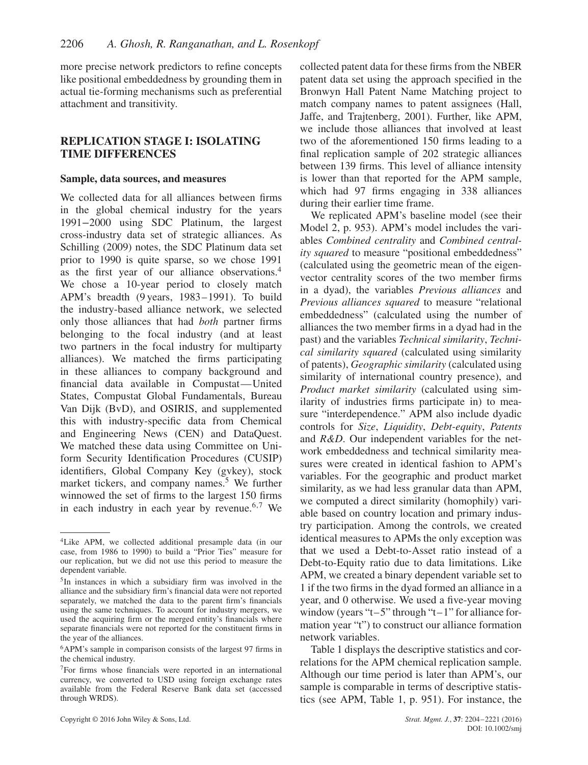more precise network predictors to refine concepts like positional embeddedness by grounding them in actual tie-forming mechanisms such as preferential attachment and transitivity.

# **REPLICATION STAGE I: ISOLATING TIME DIFFERENCES**

#### **Sample, data sources, and measures**

We collected data for all alliances between firms in the global chemical industry for the years 1991−2000 using SDC Platinum, the largest cross-industry data set of strategic alliances. As Schilling (2009) notes, the SDC Platinum data set prior to 1990 is quite sparse, so we chose 1991 as the first year of our alliance observations.<sup>4</sup> We chose a 10-year period to closely match APM's breadth (9 years, 1983–1991). To build the industry-based alliance network, we selected only those alliances that had *both* partner firms belonging to the focal industry (and at least two partners in the focal industry for multiparty alliances). We matched the firms participating in these alliances to company background and financial data available in Compustat—United States, Compustat Global Fundamentals, Bureau Van Dijk (BvD), and OSIRIS, and supplemented this with industry-specific data from Chemical and Engineering News (CEN) and DataQuest. We matched these data using Committee on Uniform Security Identification Procedures (CUSIP) identifiers, Global Company Key (gvkey), stock market tickers, and company names.<sup>5</sup> We further winnowed the set of firms to the largest 150 firms in each industry in each year by revenue.<sup>6,7</sup> We

collected patent data for these firms from the NBER patent data set using the approach specified in the Bronwyn Hall Patent Name Matching project to match company names to patent assignees (Hall, Jaffe, and Trajtenberg, 2001). Further, like APM, we include those alliances that involved at least two of the aforementioned 150 firms leading to a final replication sample of 202 strategic alliances between 139 firms. This level of alliance intensity is lower than that reported for the APM sample, which had 97 firms engaging in 338 alliances during their earlier time frame.

We replicated APM's baseline model (see their Model 2, p. 953). APM's model includes the variables *Combined centrality* and *Combined centrality squared* to measure "positional embeddedness" (calculated using the geometric mean of the eigenvector centrality scores of the two member firms in a dyad), the variables *Previous alliances* and *Previous alliances squared* to measure "relational embeddedness" (calculated using the number of alliances the two member firms in a dyad had in the past) and the variables *Technical similarity*, *Technical similarity squared* (calculated using similarity of patents), *Geographic similarity* (calculated using similarity of international country presence), and *Product market similarity* (calculated using similarity of industries firms participate in) to measure "interdependence." APM also include dyadic controls for *Size*, *Liquidity*, *Debt-equity*, *Patents* and *R&D*. Our independent variables for the network embeddedness and technical similarity measures were created in identical fashion to APM's variables. For the geographic and product market similarity, as we had less granular data than APM, we computed a direct similarity (homophily) variable based on country location and primary industry participation. Among the controls, we created identical measures to APMs the only exception was that we used a Debt-to-Asset ratio instead of a Debt-to-Equity ratio due to data limitations. Like APM, we created a binary dependent variable set to 1 if the two firms in the dyad formed an alliance in a year, and 0 otherwise. We used a five-year moving window (years " $t-5$ " through " $t-1$ " for alliance formation year "t") to construct our alliance formation network variables.

Table 1 displays the descriptive statistics and correlations for the APM chemical replication sample. Although our time period is later than APM's, our sample is comparable in terms of descriptive statistics (see APM, Table 1, p. 951). For instance, the

<sup>4</sup>Like APM, we collected additional presample data (in our case, from 1986 to 1990) to build a "Prior Ties" measure for our replication, but we did not use this period to measure the dependent variable.

 $5$ In instances in which a subsidiary firm was involved in the alliance and the subsidiary firm's financial data were not reported separately, we matched the data to the parent firm's financials using the same techniques. To account for industry mergers, we used the acquiring firm or the merged entity's financials where separate financials were not reported for the constituent firms in the year of the alliances.

<sup>6</sup>APM's sample in comparison consists of the largest 97 firms in the chemical industry.

<sup>7</sup>For firms whose financials were reported in an international currency, we converted to USD using foreign exchange rates available from the Federal Reserve Bank data set (accessed through WRDS).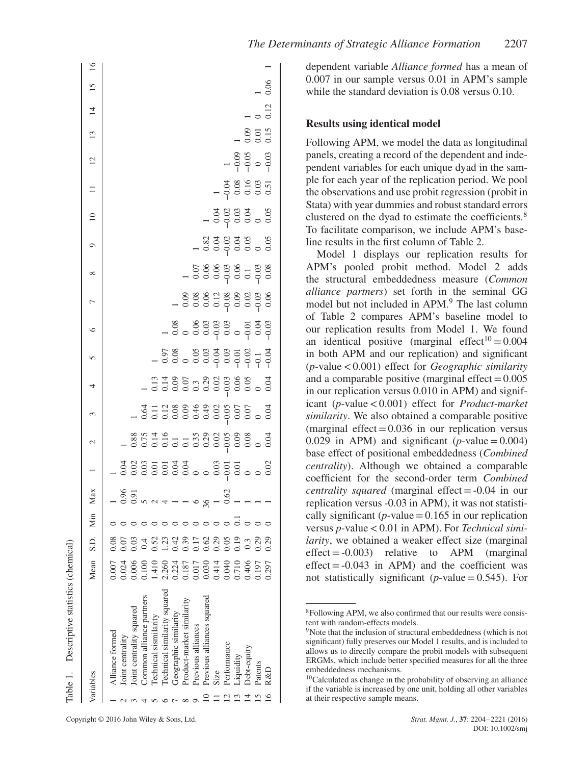|              | Table 1. Descriptive statistics (chemical)                                                                                                                                                                                                                     |                                                                                      |                                                                                                   |     |                                                          |                                             |                      |   |                                                                                                                                                                                                                                |                                                                              |         |                    |   |                                                                |             |                                       |                               |                      |                  |                  |  |
|--------------|----------------------------------------------------------------------------------------------------------------------------------------------------------------------------------------------------------------------------------------------------------------|--------------------------------------------------------------------------------------|---------------------------------------------------------------------------------------------------|-----|----------------------------------------------------------|---------------------------------------------|----------------------|---|--------------------------------------------------------------------------------------------------------------------------------------------------------------------------------------------------------------------------------|------------------------------------------------------------------------------|---------|--------------------|---|----------------------------------------------------------------|-------------|---------------------------------------|-------------------------------|----------------------|------------------|------------------|--|
|              | Variables                                                                                                                                                                                                                                                      | Mean S.D.                                                                            |                                                                                                   | Min | Max                                                      |                                             | $\sim$               | 3 | 4                                                                                                                                                                                                                              | 5                                                                            | $\circ$ | $\overline{ }$     | ∞ | Ó                                                              | $\supseteq$ | $\Box$                                | $\overline{12}$               | 13                   | $\overline{4}$   | $15 \,$          |  |
|              | lechnical similarity squared<br>Previous alliances squared<br>Common alliance partners<br>Product-market similarity<br>Joint centrality squared<br>Geographic similarity<br>Technical sismilarity<br>Previous alliances<br>Alliance formed<br>Joint centrality | 1.410<br>2.260<br>0.224<br>0.24<br>0.006<br>0.187<br>0.017<br>0.030<br>0001<br>0.100 | 0.03<br>).52<br>(42)<br>0.08<br>0.07<br>$\overline{23}$<br>0.39<br>0.62<br>17<br>$\overline{0.4}$ | .   | $-5.5$<br>$-5.5$<br>$-5.5$<br>$-5.5$<br>$-5.5$<br>$-5.5$ | za za za za za za<br>La začela za začela za | - 8853461-3888888888 |   | $-3350$ $-300$ $-300$ $-300$ $-300$ $-300$ $-300$ $-300$ $-300$ $-300$ $-300$ $-300$ $-300$ $-300$ $-300$ $-300$ $-300$ $-300$ $-300$ $-300$ $-300$ $-300$ $-300$ $-300$ $-300$ $-300$ $-300$ $-300$ $-300$ $-300$ $-300$ $-3$ | $-508$ $-500$ $-500$ $-500$ $-500$ $-500$ $-500$ $-500$ $-500$ $-500$ $-500$ |         |                    |   |                                                                |             |                                       |                               |                      |                  |                  |  |
| $\mathbf{c}$ | Performance<br>Debt-equity<br>Liquidity<br>Patents<br>R&D<br>Size                                                                                                                                                                                              | 0.710<br>0.406<br>0.297<br>0.040<br>0.197                                            | 0.29<br>0.05<br>0.19<br>0.29<br>0.29<br>0.3                                                       |     |                                                          |                                             |                      |   |                                                                                                                                                                                                                                |                                                                              |         | $-0.8886128802060$ |   | $-8.23$<br>$-0.05$<br>$-0.05$<br>$-0.05$<br>$-0.05$<br>$-0.05$ |             | $-0.08$<br>$-0.08$<br>$-0.03$<br>0.51 | $-9.05$<br>$-9.05$<br>$-0.03$ | 0.01<br>0.01<br>0.15 | $\frac{0}{0.12}$ | $\frac{1}{0.06}$ |  |
|              |                                                                                                                                                                                                                                                                |                                                                                      |                                                                                                   |     |                                                          |                                             |                      |   |                                                                                                                                                                                                                                |                                                                              |         |                    |   |                                                                |             |                                       |                               |                      |                  |                  |  |

dependent variable *Alliance formed* has a mean of 0.007 in our sample versus 0.01 in APM's sample while the standard deviation is 0.08 versus 0.10.

#### **Results using identical model**

Following APM, we model the data as longitudinal panels, creating a record of the dependent and independent variables for each unique dyad in the sample for each year of the replication period. We pool the observations and use probit regression (probit in Stata) with year dummies and robust standard errors clustered on the dyad to estimate the coefficients.<sup>8</sup> To facilitate comparison, we include APM's baseline results in the first column of Table 2.

Model 1 displays our replication results for APM's pooled probit method. Model 2 adds the structural embeddedness measure (*Common alliance partners*) set forth in the seminal GG model but not included in APM.<sup>9</sup> The last column of Table 2 compares APM's baseline model to our replication results from Model 1. We found an identical positive (marginal effect<sup>10</sup> =  $0.004$ ) in both APM and our replication) and significant (*p*-value*<*0.001) effect for *Geographic similarity* and a comparable positive (marginal effect  $=0.005$ ) in our replication versus 0.010 in APM) and significant (*p*-value*<*0.001) effect for *Product-market similarity*. We also obtained a comparable positive (marginal effect  $= 0.036$  in our replication versus 0.029 in APM) and significant  $(p$ -value = 0.004) base effect of positional embeddedness (*Combined centrality*). Although we obtained a comparable coefficient for the second-order term *Combined centrality squared* (marginal effect = -0.04 in our replication versus -0.03 in APM), it was not statistically significant ( $p$ -value = 0.165 in our replication versus *p*-value*<*0.01 in APM). For *Technical similarity*, we obtained a weaker effect size (marginal  $effect = -0.003$ ) relative to APM (marginal  $effect = -0.043$  in APM) and the coefficient was not statistically significant ( $p$ -value = 0.545). For

<sup>8</sup>Following APM, we also confirmed that our results were consistent with random-effects models.

 $9^9$ Note that the inclusion of structural embeddedness (which is not significant) fully preserves our Model 1 results, and is included to allows us to directly compare the probit models with subsequent ERGMs, which include better specified measures for all the three embeddedness mechanisms.

<sup>&</sup>lt;sup>10</sup>Calculated as change in the probability of observing an alliance if the variable is increased by one unit, holding all other variables at their respective sample means.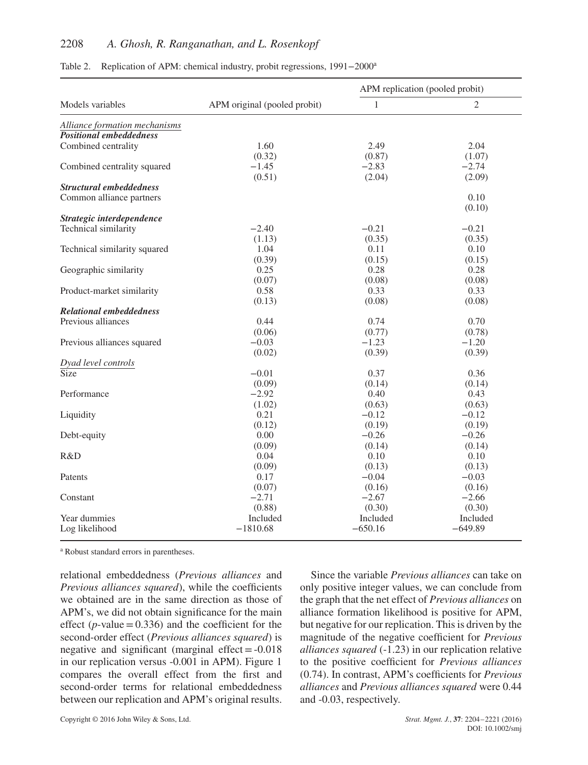# 2208 *A. Ghosh, R. Ranganathan, and L. Rosenkopf*

|                                |                              | APM replication (pooled probit) |                |
|--------------------------------|------------------------------|---------------------------------|----------------|
| Models variables               | APM original (pooled probit) | $\mathbf{1}$                    | $\mathfrak{2}$ |
| Alliance formation mechanisms  |                              |                                 |                |
| <b>Positional embeddedness</b> |                              |                                 |                |
| Combined centrality            | 1.60                         | 2.49                            | 2.04           |
|                                | (0.32)                       | (0.87)                          | (1.07)         |
| Combined centrality squared    | $-1.45$                      | $-2.83$                         | $-2.74$        |
|                                | (0.51)                       | (2.04)                          | (2.09)         |
| <b>Structural embeddedness</b> |                              |                                 |                |
| Common alliance partners       |                              |                                 | 0.10           |
|                                |                              |                                 | (0.10)         |
| Strategic interdependence      |                              |                                 |                |
| Technical similarity           | $-2.40$                      | $-0.21$                         | $-0.21$        |
|                                | (1.13)                       | (0.35)                          | (0.35)         |
| Technical similarity squared   | 1.04                         | 0.11                            | 0.10           |
|                                | (0.39)                       | (0.15)                          | (0.15)         |
| Geographic similarity          | 0.25                         | 0.28                            | 0.28           |
|                                | (0.07)                       | (0.08)                          | (0.08)         |
| Product-market similarity      | 0.58                         | 0.33                            | 0.33           |
|                                | (0.13)                       | (0.08)                          | (0.08)         |
| <b>Relational embeddedness</b> |                              |                                 |                |
| Previous alliances             | 0.44                         | 0.74                            | 0.70           |
|                                | (0.06)                       | (0.77)                          | (0.78)         |
| Previous alliances squared     | $-0.03$                      | $-1.23$                         | $-1.20$        |
|                                | (0.02)                       | (0.39)                          | (0.39)         |
| Dyad level controls            |                              |                                 |                |
| Size                           | $-0.01$                      | 0.37                            | 0.36           |
|                                | (0.09)                       | (0.14)                          | (0.14)         |
| Performance                    | $-2.92$                      | 0.40                            | 0.43           |
|                                | (1.02)                       | (0.63)                          | (0.63)         |
| Liquidity                      | 0.21                         | $-0.12$                         | $-0.12$        |
|                                | (0.12)                       | (0.19)                          | (0.19)         |
| Debt-equity                    | 0.00                         | $-0.26$                         | $-0.26$        |
|                                | (0.09)                       | (0.14)                          | (0.14)         |
| R&D                            | 0.04                         | 0.10                            | 0.10           |
|                                | (0.09)                       | (0.13)                          | (0.13)         |
| Patents                        | 0.17                         | $-0.04$                         | $-0.03$        |
|                                | (0.07)                       | (0.16)                          | (0.16)         |
| Constant                       | $-2.71$                      | $-2.67$                         | $-2.66$        |
|                                | (0.88)                       | (0.30)                          | (0.30)         |
| Year dummies                   | Included                     | Included                        | Included       |
| Log likelihood                 | $-1810.68$                   | $-650.16$                       | $-649.89$      |
|                                |                              |                                 |                |

Table 2. Replication of APM: chemical industry, probit regressions, 1991−2000<sup>a</sup>

<sup>a</sup> Robust standard errors in parentheses.

relational embeddedness (*Previous alliances* and *Previous alliances squared*), while the coefficients we obtained are in the same direction as those of APM's, we did not obtain significance for the main effect ( $p$ -value = 0.336) and the coefficient for the second-order effect (*Previous alliances squared*) is negative and significant (marginal effect  $= -0.018$ ) in our replication versus -0.001 in APM). Figure 1 compares the overall effect from the first and second-order terms for relational embeddedness between our replication and APM's original results.

Since the variable *Previous alliances* can take on only positive integer values, we can conclude from the graph that the net effect of *Previous alliances* on alliance formation likelihood is positive for APM, but negative for our replication. This is driven by the magnitude of the negative coefficient for *Previous alliances squared* (-1.23) in our replication relative to the positive coefficient for *Previous alliances* (0.74). In contrast, APM's coefficients for *Previous alliances* and *Previous alliances squared* were 0.44 and -0.03, respectively.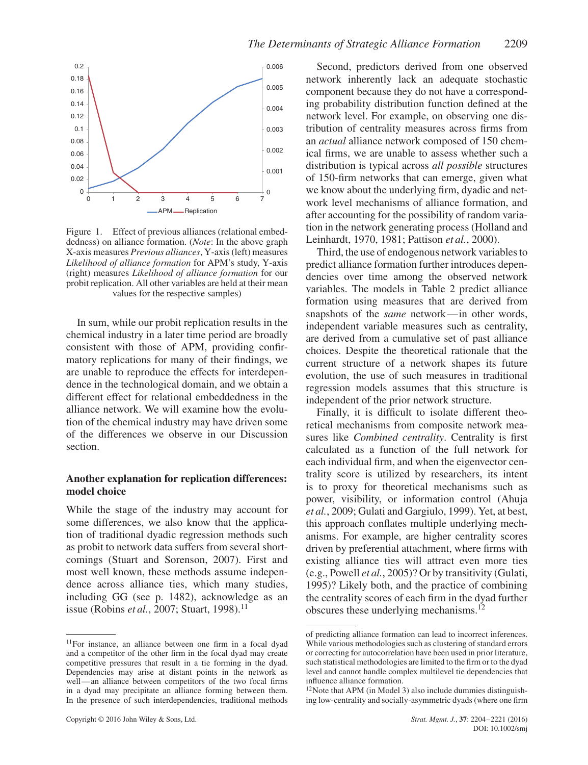

Figure 1. Effect of previous alliances (relational embeddedness) on alliance formation. (*Note*: In the above graph X-axis measures *Previous alliances*, Y-axis (left) measures *Likelihood of alliance formation* for APM's study, Y-axis (right) measures *Likelihood of alliance formation* for our probit replication. All other variables are held at their mean values for the respective samples)

In sum, while our probit replication results in the chemical industry in a later time period are broadly consistent with those of APM, providing confirmatory replications for many of their findings, we are unable to reproduce the effects for interdependence in the technological domain, and we obtain a different effect for relational embeddedness in the alliance network. We will examine how the evolution of the chemical industry may have driven some of the differences we observe in our Discussion section.

#### **Another explanation for replication differences: model choice**

While the stage of the industry may account for some differences, we also know that the application of traditional dyadic regression methods such as probit to network data suffers from several shortcomings (Stuart and Sorenson, 2007). First and most well known, these methods assume independence across alliance ties, which many studies, including GG (see p. 1482), acknowledge as an issue (Robins *et al.*, 2007; Stuart, 1998).<sup>11</sup>

Second, predictors derived from one observed network inherently lack an adequate stochastic component because they do not have a corresponding probability distribution function defined at the network level. For example, on observing one distribution of centrality measures across firms from an *actual* alliance network composed of 150 chemical firms, we are unable to assess whether such a distribution is typical across *all possible* structures of 150-firm networks that can emerge, given what we know about the underlying firm, dyadic and network level mechanisms of alliance formation, and after accounting for the possibility of random variation in the network generating process (Holland and Leinhardt, 1970, 1981; Pattison *et al.*, 2000).

Third, the use of endogenous network variables to predict alliance formation further introduces dependencies over time among the observed network variables. The models in Table 2 predict alliance formation using measures that are derived from snapshots of the *same* network—in other words, independent variable measures such as centrality, are derived from a cumulative set of past alliance choices. Despite the theoretical rationale that the current structure of a network shapes its future evolution, the use of such measures in traditional regression models assumes that this structure is independent of the prior network structure.

Finally, it is difficult to isolate different theoretical mechanisms from composite network measures like *Combined centrality*. Centrality is first calculated as a function of the full network for each individual firm, and when the eigenvector centrality score is utilized by researchers, its intent is to proxy for theoretical mechanisms such as power, visibility, or information control (Ahuja *et al.*, 2009; Gulati and Gargiulo, 1999). Yet, at best, this approach conflates multiple underlying mechanisms. For example, are higher centrality scores driven by preferential attachment, where firms with existing alliance ties will attract even more ties (e.g., Powell *et al.*, 2005)? Or by transitivity (Gulati, 1995)? Likely both, and the practice of combining the centrality scores of each firm in the dyad further obscures these underlying mechanisms.<sup>12</sup>

<sup>11</sup>For instance, an alliance between one firm in a focal dyad and a competitor of the other firm in the focal dyad may create competitive pressures that result in a tie forming in the dyad. Dependencies may arise at distant points in the network as well—an alliance between competitors of the two focal firms in a dyad may precipitate an alliance forming between them. In the presence of such interdependencies, traditional methods

of predicting alliance formation can lead to incorrect inferences. While various methodologies such as clustering of standard errors or correcting for autocorrelation have been used in prior literature, such statistical methodologies are limited to the firm or to the dyad level and cannot handle complex multilevel tie dependencies that influence alliance formation.

<sup>12</sup>Note that APM (in Model 3) also include dummies distinguishing low-centrality and socially-asymmetric dyads (where one firm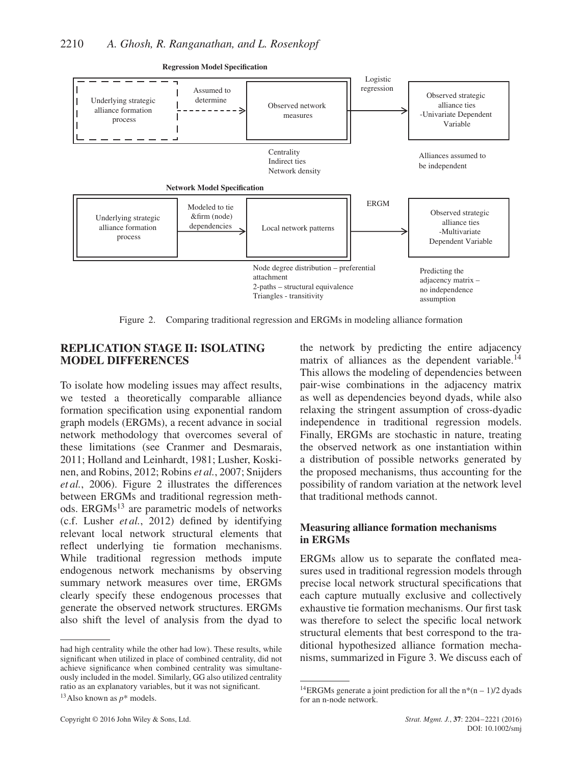

**Regression Model Specification**

Figure 2. Comparing traditional regression and ERGMs in modeling alliance formation

# **REPLICATION STAGE II: ISOLATING MODEL DIFFERENCES**

To isolate how modeling issues may affect results, we tested a theoretically comparable alliance formation specification using exponential random graph models (ERGMs), a recent advance in social network methodology that overcomes several of these limitations (see Cranmer and Desmarais, 2011; Holland and Leinhardt, 1981; Lusher, Koskinen, and Robins, 2012; Robins *et al.*, 2007; Snijders *et al.*, 2006). Figure 2 illustrates the differences between ERGMs and traditional regression methods. ERGMs<sup>13</sup> are parametric models of networks (c.f. Lusher *et al.*, 2012) defined by identifying relevant local network structural elements that reflect underlying tie formation mechanisms. While traditional regression methods impute endogenous network mechanisms by observing summary network measures over time, ERGMs clearly specify these endogenous processes that generate the observed network structures. ERGMs also shift the level of analysis from the dyad to the network by predicting the entire adjacency matrix of alliances as the dependent variable.<sup>14</sup> This allows the modeling of dependencies between pair-wise combinations in the adjacency matrix as well as dependencies beyond dyads, while also relaxing the stringent assumption of cross-dyadic independence in traditional regression models. Finally, ERGMs are stochastic in nature, treating the observed network as one instantiation within a distribution of possible networks generated by the proposed mechanisms, thus accounting for the possibility of random variation at the network level that traditional methods cannot.

## **Measuring alliance formation mechanisms in ERGMs**

ERGMs allow us to separate the conflated measures used in traditional regression models through precise local network structural specifications that each capture mutually exclusive and collectively exhaustive tie formation mechanisms. Our first task was therefore to select the specific local network structural elements that best correspond to the traditional hypothesized alliance formation mechanisms, summarized in Figure 3. We discuss each of

had high centrality while the other had low). These results, while significant when utilized in place of combined centrality, did not achieve significance when combined centrality was simultaneously included in the model. Similarly, GG also utilized centrality ratio as an explanatory variables, but it was not significant.

<sup>&</sup>lt;sup>13</sup>Also known as  $p^*$  models.

<sup>&</sup>lt;sup>14</sup>ERGMs generate a joint prediction for all the  $n*(n-1)/2$  dyads for an n-node network.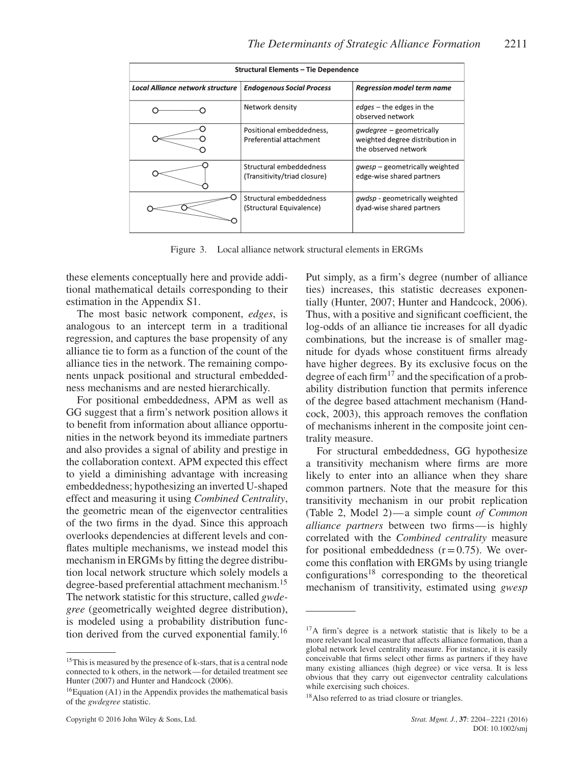|                                         | <b>Structural Elements - Tie Dependence</b>             |                                                                                            |
|-----------------------------------------|---------------------------------------------------------|--------------------------------------------------------------------------------------------|
| <b>Local Alliance network structure</b> | <b>Endogenous Social Process</b>                        | <b>Regression model term name</b>                                                          |
|                                         | Network density                                         | $edges$ – the edges in the<br>observed network                                             |
|                                         | Positional embeddedness,<br>Preferential attachment     | <i>gwdegree</i> – geometrically<br>weighted degree distribution in<br>the observed network |
|                                         | Structural embeddedness<br>(Transitivity/triad closure) | <i>qwesp</i> – geometrically weighted<br>edge-wise shared partners                         |
|                                         | Structural embeddedness<br>(Structural Equivalence)     | <i>qwdsp</i> - geometrically weighted<br>dyad-wise shared partners                         |

Figure 3. Local alliance network structural elements in ERGMs

these elements conceptually here and provide additional mathematical details corresponding to their estimation in the Appendix S1.

The most basic network component, *edges*, is analogous to an intercept term in a traditional regression, and captures the base propensity of any alliance tie to form as a function of the count of the alliance ties in the network. The remaining components unpack positional and structural embeddedness mechanisms and are nested hierarchically.

For positional embeddedness, APM as well as GG suggest that a firm's network position allows it to benefit from information about alliance opportunities in the network beyond its immediate partners and also provides a signal of ability and prestige in the collaboration context. APM expected this effect to yield a diminishing advantage with increasing embeddedness; hypothesizing an inverted U-shaped effect and measuring it using *Combined Centrality*, the geometric mean of the eigenvector centralities of the two firms in the dyad. Since this approach overlooks dependencies at different levels and conflates multiple mechanisms, we instead model this mechanism in ERGMs by fitting the degree distribution local network structure which solely models a degree-based preferential attachment mechanism.<sup>15</sup> The network statistic for this structure, called *gwdegree* (geometrically weighted degree distribution), is modeled using a probability distribution function derived from the curved exponential family.<sup>16</sup>

Put simply, as a firm's degree (number of alliance ties) increases, this statistic decreases exponentially (Hunter, 2007; Hunter and Handcock, 2006). Thus, with a positive and significant coefficient, the log-odds of an alliance tie increases for all dyadic combinations*,* but the increase is of smaller magnitude for dyads whose constituent firms already have higher degrees. By its exclusive focus on the degree of each firm<sup>17</sup> and the specification of a probability distribution function that permits inference of the degree based attachment mechanism (Handcock, 2003), this approach removes the conflation of mechanisms inherent in the composite joint centrality measure.

For structural embeddedness, GG hypothesize a transitivity mechanism where firms are more likely to enter into an alliance when they share common partners. Note that the measure for this transitivity mechanism in our probit replication (Table 2, Model 2)—a simple count *of Common alliance partners* between two firms—is highly correlated with the *Combined centrality* measure for positional embeddedness  $(r=0.75)$ . We overcome this conflation with ERGMs by using triangle  $configurations<sup>18</sup>$  corresponding to the theoretical mechanism of transitivity, estimated using *gwesp*

<sup>&</sup>lt;sup>15</sup>This is measured by the presence of k-stars, that is a central node connected to k others, in the network—for detailed treatment see Hunter (2007) and Hunter and Handcock (2006).

 $16$ Equation (A1) in the Appendix provides the mathematical basis of the *gwdegree* statistic.

<sup>&</sup>lt;sup>17</sup>A firm's degree is a network statistic that is likely to be a more relevant local measure that affects alliance formation, than a global network level centrality measure. For instance, it is easily conceivable that firms select other firms as partners if they have many existing alliances (high degree) or vice versa. It is less obvious that they carry out eigenvector centrality calculations while exercising such choices.

<sup>18</sup>Also referred to as triad closure or triangles.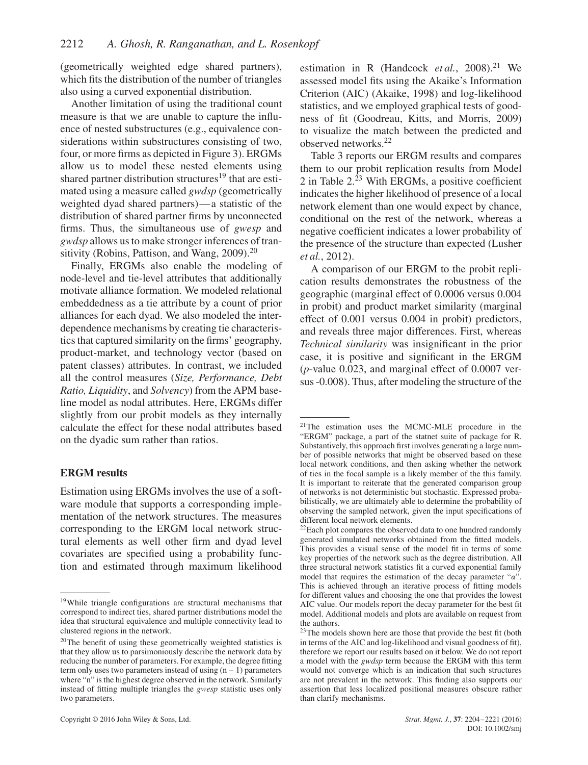(geometrically weighted edge shared partners), which fits the distribution of the number of triangles also using a curved exponential distribution.

Another limitation of using the traditional count measure is that we are unable to capture the influence of nested substructures (e.g., equivalence considerations within substructures consisting of two, four, or more firms as depicted in Figure 3). ERGMs allow us to model these nested elements using shared partner distribution structures<sup>19</sup> that are estimated using a measure called *gwdsp* (geometrically weighted dyad shared partners)—a statistic of the distribution of shared partner firms by unconnected firms. Thus, the simultaneous use of *gwesp* and *gwdsp* allows us to make stronger inferences of transitivity (Robins, Pattison, and Wang,  $2009$ ).<sup>20</sup>

Finally, ERGMs also enable the modeling of node-level and tie-level attributes that additionally motivate alliance formation. We modeled relational embeddedness as a tie attribute by a count of prior alliances for each dyad. We also modeled the interdependence mechanisms by creating tie characteristics that captured similarity on the firms' geography, product-market, and technology vector (based on patent classes) attributes. In contrast, we included all the control measures (*Size, Performance, Debt Ratio, Liquidity*, and *Solvency*) from the APM baseline model as nodal attributes. Here, ERGMs differ slightly from our probit models as they internally calculate the effect for these nodal attributes based on the dyadic sum rather than ratios.

#### **ERGM results**

Estimation using ERGMs involves the use of a software module that supports a corresponding implementation of the network structures. The measures corresponding to the ERGM local network structural elements as well other firm and dyad level covariates are specified using a probability function and estimated through maximum likelihood estimation in R (Handcock  $et al., 2008$ ).<sup>21</sup> We assessed model fits using the Akaike's Information Criterion (AIC) (Akaike, 1998) and log-likelihood statistics, and we employed graphical tests of goodness of fit (Goodreau, Kitts, and Morris, 2009) to visualize the match between the predicted and observed networks.<sup>22</sup>

Table 3 reports our ERGM results and compares them to our probit replication results from Model 2 in Table  $2.\overline{23}$  With ERGMs, a positive coefficient indicates the higher likelihood of presence of a local network element than one would expect by chance, conditional on the rest of the network, whereas a negative coefficient indicates a lower probability of the presence of the structure than expected (Lusher *et al.*, 2012).

A comparison of our ERGM to the probit replication results demonstrates the robustness of the geographic (marginal effect of 0.0006 versus 0.004 in probit) and product market similarity (marginal effect of 0.001 versus 0.004 in probit) predictors, and reveals three major differences. First, whereas *Technical similarity* was insignificant in the prior case, it is positive and significant in the ERGM (*p*-value 0.023, and marginal effect of 0.0007 versus -0.008). Thus, after modeling the structure of the

<sup>19</sup>While triangle configurations are structural mechanisms that correspond to indirect ties, shared partner distributions model the idea that structural equivalence and multiple connectivity lead to clustered regions in the network.

<sup>20</sup>The benefit of using these geometrically weighted statistics is that they allow us to parsimoniously describe the network data by reducing the number of parameters. For example, the degree fitting term only uses two parameters instead of using  $(n - 1)$  parameters where "n" is the highest degree observed in the network. Similarly instead of fitting multiple triangles the *gwesp* statistic uses only two parameters.

<sup>21</sup>The estimation uses the MCMC-MLE procedure in the "ERGM" package, a part of the statnet suite of package for R. Substantively, this approach first involves generating a large number of possible networks that might be observed based on these local network conditions, and then asking whether the network of ties in the focal sample is a likely member of the this family. It is important to reiterate that the generated comparison group of networks is not deterministic but stochastic. Expressed probabilistically, we are ultimately able to determine the probability of observing the sampled network, given the input specifications of different local network elements.

<sup>&</sup>lt;sup>22</sup>Each plot compares the observed data to one hundred randomly generated simulated networks obtained from the fitted models. This provides a visual sense of the model fit in terms of some key properties of the network such as the degree distribution. All three structural network statistics fit a curved exponential family model that requires the estimation of the decay parameter " $\alpha$ ". This is achieved through an iterative process of fitting models for different values and choosing the one that provides the lowest AIC value. Our models report the decay parameter for the best fit model. Additional models and plots are available on request from the authors.

 $23$ The models shown here are those that provide the best fit (both in terms of the AIC and log-likelihood and visual goodness of fit), therefore we report our results based on it below. We do not report a model with the *gwdsp* term because the ERGM with this term would not converge which is an indication that such structures are not prevalent in the network. This finding also supports our assertion that less localized positional measures obscure rather than clarify mechanisms.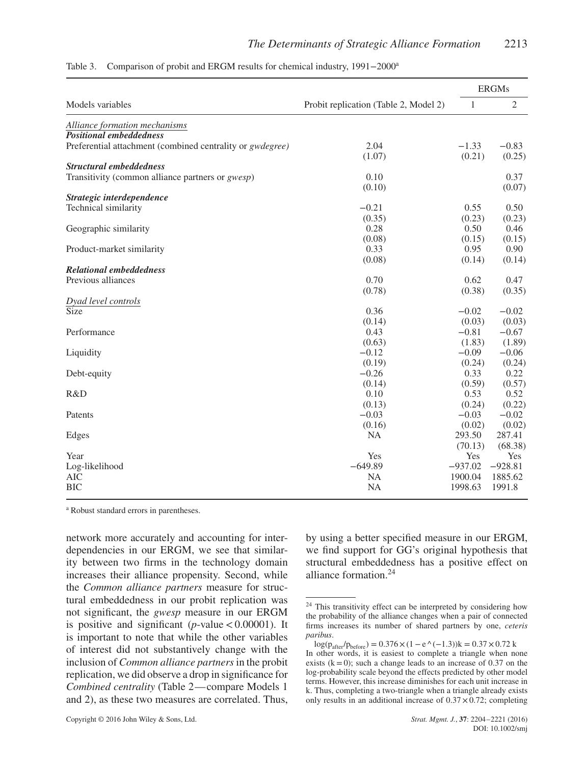|                                                                   |                                       |              | <b>ERGMs</b>   |
|-------------------------------------------------------------------|---------------------------------------|--------------|----------------|
| Models variables                                                  | Probit replication (Table 2, Model 2) | $\mathbf{1}$ | $\overline{2}$ |
| Alliance formation mechanisms                                     |                                       |              |                |
| <b>Positional embeddedness</b>                                    |                                       |              |                |
| Preferential attachment (combined centrality or <i>gwdegree</i> ) | 2.04                                  | $-1.33$      | $-0.83$        |
|                                                                   | (1.07)                                | (0.21)       | (0.25)         |
| <b>Structural embeddedness</b>                                    |                                       |              |                |
| Transitivity (common alliance partners or <i>gwesp</i> )          | 0.10                                  |              | 0.37           |
|                                                                   | (0.10)                                |              | (0.07)         |
| Strategic interdependence                                         |                                       |              |                |
| Technical similarity                                              | $-0.21$                               | 0.55         | 0.50           |
|                                                                   | (0.35)                                | (0.23)       | (0.23)         |
| Geographic similarity                                             | 0.28                                  | 0.50         | 0.46           |
|                                                                   | (0.08)                                | (0.15)       | (0.15)         |
| Product-market similarity                                         | 0.33                                  | 0.95         | 0.90           |
|                                                                   | (0.08)                                | (0.14)       | (0.14)         |
| <b>Relational embeddedness</b>                                    |                                       |              |                |
| Previous alliances                                                | 0.70                                  | 0.62         | 0.47           |
|                                                                   | (0.78)                                | (0.38)       | (0.35)         |
| Dyad level controls<br>Size                                       |                                       |              |                |
|                                                                   | 0.36                                  | $-0.02$      | $-0.02$        |
|                                                                   | (0.14)                                | (0.03)       | (0.03)         |
| Performance                                                       | 0.43                                  | $-0.81$      | $-0.67$        |
|                                                                   | (0.63)                                | (1.83)       | (1.89)         |
| Liquidity                                                         | $-0.12$                               | $-0.09$      | $-0.06$        |
|                                                                   | (0.19)                                | (0.24)       | (0.24)         |
| Debt-equity                                                       | $-0.26$                               | 0.33         | 0.22           |
|                                                                   | (0.14)                                | (0.59)       | (0.57)         |
| R&D                                                               | 0.10                                  | 0.53         | 0.52           |
|                                                                   | (0.13)                                | (0.24)       | (0.22)         |
| Patents                                                           | $-0.03$                               | $-0.03$      | $-0.02$        |
|                                                                   | (0.16)                                | (0.02)       | (0.02)         |
| Edges                                                             | <b>NA</b>                             | 293.50       | 287.41         |
|                                                                   |                                       | (70.13)      | (68.38)        |
| Year                                                              | Yes                                   | Yes          | Yes            |
| Log-likelihood                                                    | $-649.89$                             | $-937.02$    | $-928.81$      |
| <b>AIC</b>                                                        | NA                                    | 1900.04      | 1885.62        |
| <b>BIC</b>                                                        | <b>NA</b>                             | 1998.63      | 1991.8         |

Table 3. Comparison of probit and ERGM results for chemical industry, 1991−2000<sup>a</sup>

<sup>a</sup> Robust standard errors in parentheses.

network more accurately and accounting for interdependencies in our ERGM, we see that similarity between two firms in the technology domain increases their alliance propensity. Second, while the *Common alliance partners* measure for structural embeddedness in our probit replication was not significant, the *gwesp* measure in our ERGM is positive and significant (*p*-value*<*0.00001). It is important to note that while the other variables of interest did not substantively change with the inclusion of *Common alliance partners*in the probit replication, we did observe a drop in significance for *Combined centrality* (Table 2—compare Models 1 and 2), as these two measures are correlated. Thus,

by using a better specified measure in our ERGM, we find support for GG's original hypothesis that structural embeddedness has a positive effect on alliance formation<sup>24</sup>

<sup>&</sup>lt;sup>24</sup> This transitivity effect can be interpreted by considering how the probability of the alliance changes when a pair of connected firms increases its number of shared partners by one, *ceteris paribus*.

 $log(p_{after}/p_{before}) = 0.376 \times (1 - e^{\wedge}(-1.3))k = 0.37 \times 0.72 k$ In other words, it is easiest to complete a triangle when none exists  $(k=0)$ ; such a change leads to an increase of 0.37 on the log-probability scale beyond the effects predicted by other model terms. However, this increase diminishes for each unit increase in k. Thus, completing a two-triangle when a triangle already exists only results in an additional increase of  $0.37 \times 0.72$ ; completing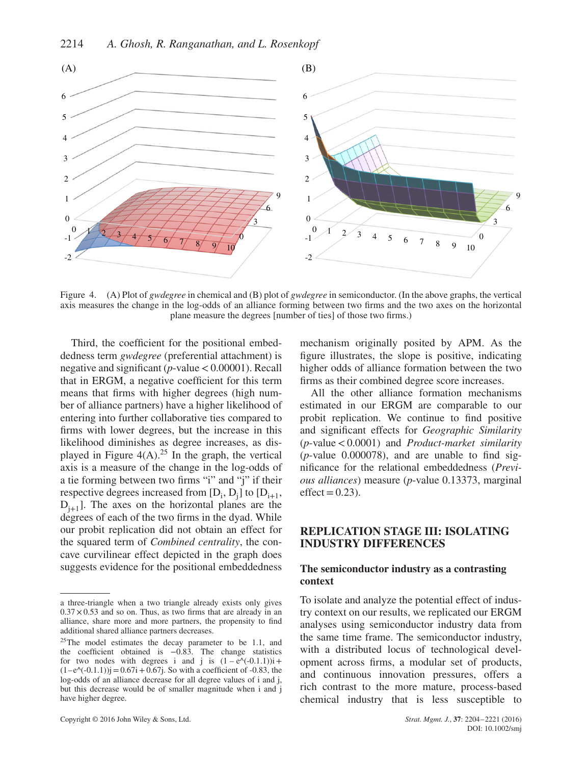

Figure 4. (A) Plot of *gwdegree* in chemical and (B) plot of *gwdegree* in semiconductor. (In the above graphs, the vertical axis measures the change in the log-odds of an alliance forming between two firms and the two axes on the horizontal plane measure the degrees [number of ties] of those two firms.)

Third, the coefficient for the positional embeddedness term *gwdegree* (preferential attachment) is negative and significant (*p*-value*<*0.00001). Recall that in ERGM, a negative coefficient for this term means that firms with higher degrees (high number of alliance partners) have a higher likelihood of entering into further collaborative ties compared to firms with lower degrees, but the increase in this likelihood diminishes as degree increases, as displayed in Figure  $4(A).^{25}$  In the graph, the vertical axis is a measure of the change in the log-odds of a tie forming between two firms "i" and "j" if their respective degrees increased from  $[D_i, D_j]$  to  $[D_{i+1},$  $D_{i+1}$ ]. The axes on the horizontal planes are the degrees of each of the two firms in the dyad. While our probit replication did not obtain an effect for the squared term of *Combined centrality*, the concave curvilinear effect depicted in the graph does suggests evidence for the positional embeddedness

Copyright © 2016 John Wiley & Sons, Ltd. *Strat. Mgmt. J.*, **37**: 2204–2221 (2016)

mechanism originally posited by APM. As the figure illustrates, the slope is positive, indicating higher odds of alliance formation between the two firms as their combined degree score increases.

All the other alliance formation mechanisms estimated in our ERGM are comparable to our probit replication. We continue to find positive and significant effects for *Geographic Similarity* (*p*-value*<*0.0001) and *Product-market similarity* (*p*-value 0.000078), and are unable to find significance for the relational embeddedness (*Previous alliances*) measure (*p*-value 0.13373, marginal  $effect=0.23$ ).

## **REPLICATION STAGE III: ISOLATING INDUSTRY DIFFERENCES**

#### **The semiconductor industry as a contrasting context**

To isolate and analyze the potential effect of industry context on our results, we replicated our ERGM analyses using semiconductor industry data from the same time frame. The semiconductor industry, with a distributed locus of technological development across firms, a modular set of products, and continuous innovation pressures, offers a rich contrast to the more mature, process-based chemical industry that is less susceptible to

a three-triangle when a two triangle already exists only gives  $0.37 \times 0.53$  and so on. Thus, as two firms that are already in an alliance, share more and more partners, the propensity to find additional shared alliance partners decreases.

<sup>&</sup>lt;sup>25</sup>The model estimates the decay parameter to be 1.1, and the coefficient obtained is  $-0.83$ . The change statistics for two nodes with degrees i and j is  $(1 - e^{\lambda}(-0.1.1))$ i+  $(1-e^{\lambda}(-0.1.1))$ j = 0.67i + 0.67j. So with a coefficient of -0.83, the log-odds of an alliance decrease for all degree values of i and j, but this decrease would be of smaller magnitude when i and j have higher degree.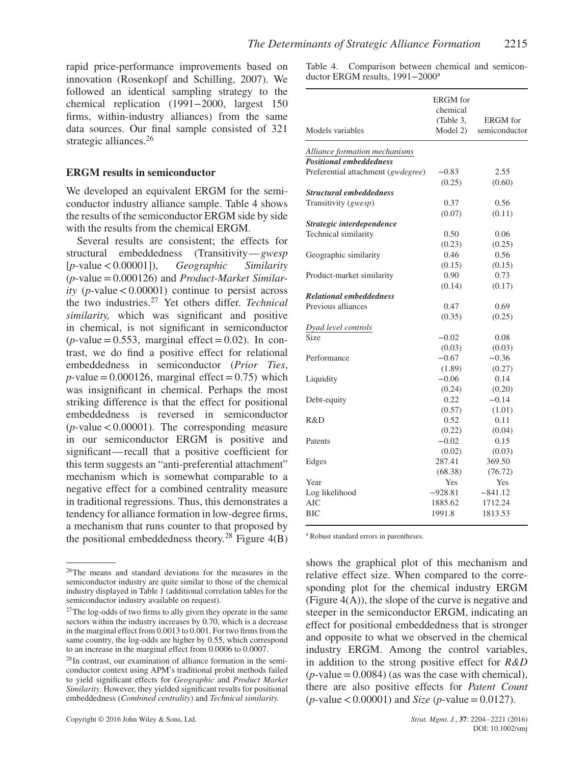rapid price-performance improvements based on innovation (Rosenkopf and Schilling, 2007). We followed an identical sampling strategy to the chemical replication (1991−2000, largest 150 firms, within-industry alliances) from the same data sources. Our final sample consisted of 321 strategic alliances.<sup>26</sup>

## **ERGM results in semiconductor**

We developed an equivalent ERGM for the semiconductor industry alliance sample. Table 4 shows the results of the semiconductor ERGM side by side with the results from the chemical ERGM.

Several results are consistent; the effects for structural embeddedness (Transitivity—*gwesp* [*p*-value*<*0.00001]), *Geographic Similarity* (*p*-value=0.000126) and *Product-Market Similarity* (*p*-value*<*0.00001) continue to persist across the two industries.<sup>27</sup> Yet others differ. *Technical similarity,* which was significant and positive in chemical, is not significant in semiconductor  $(p$ -value = 0.553, marginal effect = 0.02). In contrast, we do find a positive effect for relational embeddedness in semiconductor (*Prior Ties*,  $p$ -value = 0.000126, marginal effect = 0.75) which was insignificant in chemical. Perhaps the most striking difference is that the effect for positional embeddedness is reversed in semiconductor (*p*-value*<*0.00001). The corresponding measure in our semiconductor ERGM is positive and significant—recall that a positive coefficient for this term suggests an "anti-preferential attachment" mechanism which is somewhat comparable to a negative effect for a combined centrality measure in traditional regressions. Thus, this demonstrates a tendency for alliance formation in low-degree firms, a mechanism that runs counter to that proposed by the positional embeddedness theory.<sup>28</sup> Figure  $4(B)$  Table 4. Comparison between chemical and semiconductor ERGM results, 1991−2000<sup>a</sup>

| Models variables                   | <b>ERGM</b> for<br>chemical<br>(Table 3,<br>Model 2) | <b>ERGM</b> for<br>semiconductor |
|------------------------------------|------------------------------------------------------|----------------------------------|
| Alliance formation mechanisms      |                                                      |                                  |
| <b>Positional embeddedness</b>     |                                                      |                                  |
| Preferential attachment (gwdegree) | $-0.83$                                              | 2.55                             |
|                                    | (0.25)                                               | (0.60)                           |
| <b>Structural embeddedness</b>     |                                                      |                                  |
| Transitivity (gwesp)               | 0.37                                                 | 0.56                             |
|                                    | (0.07)                                               | (0.11)                           |
| Strategic interdependence          |                                                      |                                  |
| Technical similarity               | 0.50                                                 | 0.06                             |
|                                    | (0.23)                                               | (0.25)                           |
| Geographic similarity              | 0.46                                                 | 0.56                             |
|                                    | (0.15)                                               | (0.15)                           |
| Product-market similarity          | 0.90                                                 | 0.73                             |
|                                    | (0.14)                                               | (0.17)                           |
| <b>Relational embeddedness</b>     |                                                      |                                  |
| Previous alliances                 | 0.47                                                 | 0.69                             |
|                                    | (0.35)                                               | (0.25)                           |
| Dyad level controls                |                                                      |                                  |
| Size                               | $-0.02$                                              | 0.08                             |
|                                    | (0.03)                                               | (0.03)                           |
| Performance                        | $-0.67$                                              | $-0.36$                          |
|                                    | (1.89)                                               | (0.27)                           |
| Liquidity                          | $-0.06$                                              | 0.14                             |
|                                    | (0.24)                                               | (0.20)                           |
| Debt-equity                        | 0.22                                                 | $-0.14$                          |
|                                    | (0.57)                                               | (1.01)                           |
| R&D                                | 0.52                                                 | 0.11                             |
|                                    | (0.22)                                               | (0.04)                           |
| Patents                            | $-0.02$                                              | 0.15                             |
|                                    | (0.02)                                               | (0.03)                           |
| Edges                              | 287.41                                               | 369.50                           |
|                                    | (68.38)                                              | (76.72)                          |
| Year                               | Yes                                                  | Yes                              |
| Log likelihood                     | $-928.81$                                            | $-841.12$                        |
| AIC                                | 1885.62                                              | 1712.24                          |
| <b>BIC</b>                         | 1991.8                                               | 1813.53                          |

<sup>a</sup> Robust standard errors in parentheses.

shows the graphical plot of this mechanism and relative effect size. When compared to the corresponding plot for the chemical industry ERGM (Figure 4(A)), the slope of the curve is negative and steeper in the semiconductor ERGM, indicating an effect for positional embeddedness that is stronger and opposite to what we observed in the chemical industry ERGM. Among the control variables, in addition to the strong positive effect for *R&D*  $(p$ -value = 0.0084) (as was the case with chemical), there are also positive effects for *Patent Count*  $(p$ -value  $< 0.00001)$  and *Size* (*p*-value = 0.0127).

<sup>26</sup>The means and standard deviations for the measures in the semiconductor industry are quite similar to those of the chemical industry displayed in Table 1 (additional correlation tables for the semiconductor industry available on request).

<sup>&</sup>lt;sup>27</sup>The log-odds of two firms to ally given they operate in the same sectors within the industry increases by 0.70, which is a decrease in the marginal effect from 0.0013 to 0.001. For two firms from the same country, the log-odds are higher by 0.55, which correspond to an increase in the marginal effect from 0.0006 to 0.0007.

<sup>28</sup>In contrast, our examination of alliance formation in the semiconductor context using APM's traditional probit methods failed to yield significant effects for *Geographic* and *Product Market Similarity*. However, they yielded significant results for positional embeddedness (*Combined centrality*) and *Technical similarity.*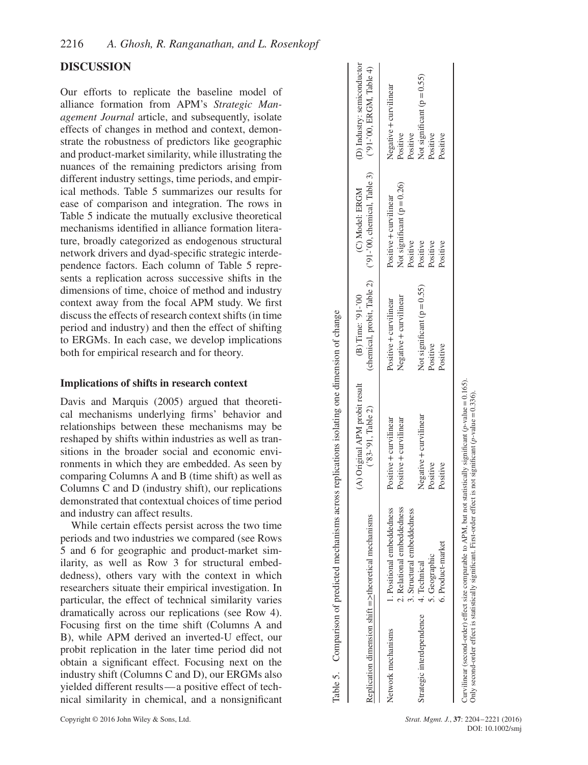# **DISCUSSION**

Our efforts to replicate the baseline model of alliance formation from APM's *Strategic Management Journal* article, and subsequently, isolate effects of changes in method and context, demonstrate the robustness of predictors like geographic and product-market similarity, while illustrating the nuances of the remaining predictors arising from different industry settings, time periods, and empirical methods. Table 5 summarizes our results for ease of comparison and integration. The rows in Table 5 indicate the mutually exclusive theoretical mechanisms identified in alliance formation literature, broadly categorized as endogenous structural network drivers and dyad-specific strategic interdependence factors. Each column of Table 5 represents a replication across successive shifts in the dimensions of time, choice of method and industry context away from the focal APM study. We first discuss the effects of research context shifts (in time period and industry) and then the effect of shifting to ERGMs. In each case, we develop implications both for empirical research and for theory.

#### **Implications of shifts in research context**

Davis and Marquis (2005) argued that theoretical mechanisms underlying firms' behavior and relationships between these mechanisms may be reshaped by shifts within industries as well as transitions in the broader social and economic environments in which they are embedded. As seen by comparing Columns A and B (time shift) as well as Columns C and D (industry shift), our replications demonstrated that contextual choices of time period and industry can affect results.

While certain effects persist across the two time periods and two industries we compared (see Rows 5 and 6 for geographic and product-market similarity, as well as Row 3 for structural embeddedness), others vary with the context in which researchers situate their empirical investigation. In particular, the effect of technical similarity varies dramatically across our replications (see Row 4). Focusing first on the time shift (Columns A and B), while APM derived an inverted-U effect, our probit replication in the later time period did not obtain a significant effect. Focusing next on the industry shift (Columns C and D), our ERGMs also yielded different results—a positive effect of technical similarity in chemical, and a nonsignificant

| Copyright © 2016 John Wiley & Sons, Ltd |  |  |  |
|-----------------------------------------|--|--|--|

| 2. Relational embeddedness<br>1. Positional embeddedness<br>3. Structural embeddedness<br>Network mechanisms |                                                  | (B) Time: '91-'00                                      | (chemical, probit, Table 2) ('91-'00, chemical, Table 3) ('91-'00, ERGM, Table 4)<br>(C) Model: ERGM | (D) Industry: semiconductor                                        |
|--------------------------------------------------------------------------------------------------------------|--------------------------------------------------|--------------------------------------------------------|------------------------------------------------------------------------------------------------------|--------------------------------------------------------------------|
|                                                                                                              | Positive + curvilinear<br>Positive + curvilinear | Negative + curvilinear<br>Positive + curvilinear       | Not significant ( $p = 0.26$ )<br>Positive + curvilinear                                             | Negative + curvilinear<br>Positive                                 |
| 6. Product-market<br>5. Geographic<br>4. Technical<br>Strategic interdependence                              | Negative + curvilinear<br>Positive<br>Positive   | Not significant ( $p = 0.55$ )<br>Positive<br>Positive | Positive<br>Positive<br>Positive<br>Positive                                                         | Not significant ( $p = 0.55$ )<br>Positive<br>Positive<br>Positive |

Strat. Mgmt. J., 37: 2204–2221 (2016) DOI: 10.1002/smj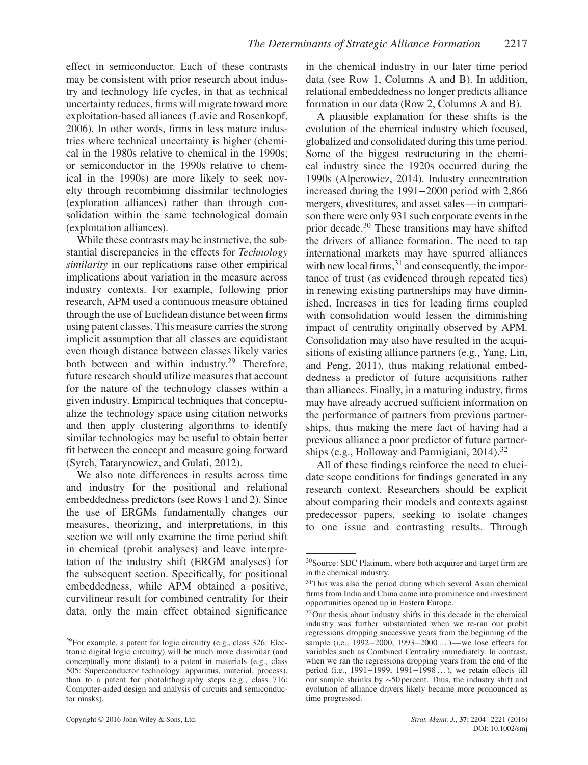effect in semiconductor. Each of these contrasts may be consistent with prior research about industry and technology life cycles, in that as technical uncertainty reduces, firms will migrate toward more exploitation-based alliances (Lavie and Rosenkopf, 2006). In other words, firms in less mature industries where technical uncertainty is higher (chemical in the 1980s relative to chemical in the 1990s; or semiconductor in the 1990s relative to chemical in the 1990s) are more likely to seek novelty through recombining dissimilar technologies (exploration alliances) rather than through consolidation within the same technological domain (exploitation alliances).

While these contrasts may be instructive, the substantial discrepancies in the effects for *Technology similarity* in our replications raise other empirical implications about variation in the measure across industry contexts. For example, following prior research, APM used a continuous measure obtained through the use of Euclidean distance between firms using patent classes. This measure carries the strong implicit assumption that all classes are equidistant even though distance between classes likely varies both between and within industry.<sup>29</sup> Therefore, future research should utilize measures that account for the nature of the technology classes within a given industry. Empirical techniques that conceptualize the technology space using citation networks and then apply clustering algorithms to identify similar technologies may be useful to obtain better fit between the concept and measure going forward (Sytch, Tatarynowicz, and Gulati, 2012).

We also note differences in results across time and industry for the positional and relational embeddedness predictors (see Rows 1 and 2). Since the use of ERGMs fundamentally changes our measures, theorizing, and interpretations, in this section we will only examine the time period shift in chemical (probit analyses) and leave interpretation of the industry shift (ERGM analyses) for the subsequent section. Specifically, for positional embeddedness, while APM obtained a positive, curvilinear result for combined centrality for their data, only the main effect obtained significance in the chemical industry in our later time period data (see Row 1, Columns A and B). In addition, relational embeddedness no longer predicts alliance formation in our data (Row 2, Columns A and B).

A plausible explanation for these shifts is the evolution of the chemical industry which focused, globalized and consolidated during this time period. Some of the biggest restructuring in the chemical industry since the 1920s occurred during the 1990s (Alperowicz, 2014). Industry concentration increased during the 1991−2000 period with 2,866 mergers, divestitures, and asset sales—in comparison there were only 931 such corporate events in the prior decade.<sup>30</sup> These transitions may have shifted the drivers of alliance formation. The need to tap international markets may have spurred alliances with new local firms,  $31$  and consequently, the importance of trust (as evidenced through repeated ties) in renewing existing partnerships may have diminished. Increases in ties for leading firms coupled with consolidation would lessen the diminishing impact of centrality originally observed by APM. Consolidation may also have resulted in the acquisitions of existing alliance partners (e.g., Yang, Lin, and Peng, 2011), thus making relational embeddedness a predictor of future acquisitions rather than alliances. Finally, in a maturing industry, firms may have already accrued sufficient information on the performance of partners from previous partnerships, thus making the mere fact of having had a previous alliance a poor predictor of future partnerships (e.g., Holloway and Parmigiani,  $2014$ ).<sup>32</sup>

All of these findings reinforce the need to elucidate scope conditions for findings generated in any research context. Researchers should be explicit about comparing their models and contexts against predecessor papers, seeking to isolate changes to one issue and contrasting results. Through

 $^{29}$ For example, a patent for logic circuitry (e.g., class 326: Electronic digital logic circuitry) will be much more dissimilar (and conceptually more distant) to a patent in materials (e.g., class 505: Superconductor technology: apparatus, material, process), than to a patent for photolithography steps (e.g., class 716: Computer-aided design and analysis of circuits and semiconductor masks).

<sup>30</sup>Source: SDC Platinum, where both acquirer and target firm are in the chemical industry.

 $31$ This was also the period during which several Asian chemical firms from India and China came into prominence and investment opportunities opened up in Eastern Europe.

<sup>32</sup>Our thesis about industry shifts in this decade in the chemical industry was further substantiated when we re-ran our probit regressions dropping successive years from the beginning of the sample (i.e., 1992–2000, 1993–2000 ... )—we lose effects for variables such as Combined Centrality immediately. In contrast, when we ran the regressions dropping years from the end of the period (i.e., 1991−1999, 1991−1998 …), we retain effects till our sample shrinks by ∼50 percent. Thus, the industry shift and evolution of alliance drivers likely became more pronounced as time progressed.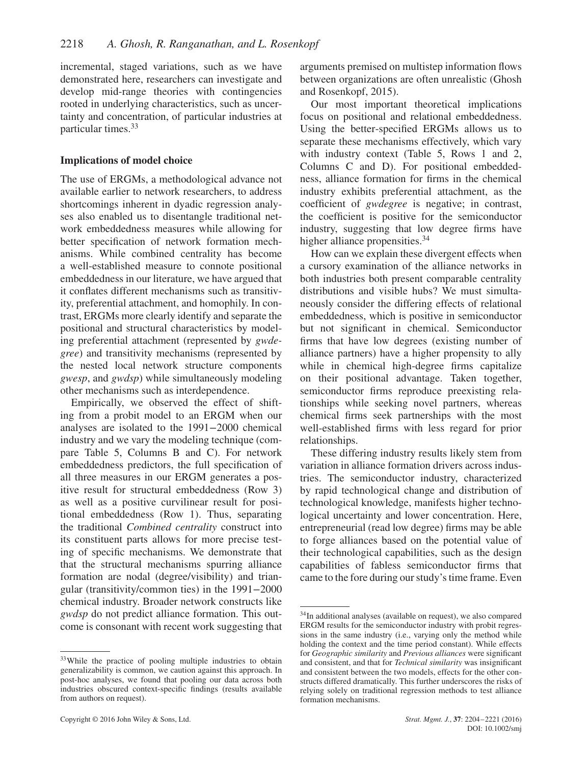incremental, staged variations, such as we have demonstrated here, researchers can investigate and develop mid-range theories with contingencies rooted in underlying characteristics, such as uncertainty and concentration, of particular industries at particular times.<sup>33</sup>

#### **Implications of model choice**

The use of ERGMs, a methodological advance not available earlier to network researchers, to address shortcomings inherent in dyadic regression analyses also enabled us to disentangle traditional network embeddedness measures while allowing for better specification of network formation mechanisms. While combined centrality has become a well-established measure to connote positional embeddedness in our literature, we have argued that it conflates different mechanisms such as transitivity, preferential attachment, and homophily. In contrast, ERGMs more clearly identify and separate the positional and structural characteristics by modeling preferential attachment (represented by *gwdegree*) and transitivity mechanisms (represented by the nested local network structure components *gwesp*, and *gwdsp*) while simultaneously modeling other mechanisms such as interdependence.

Empirically, we observed the effect of shifting from a probit model to an ERGM when our analyses are isolated to the 1991−2000 chemical industry and we vary the modeling technique (compare Table 5, Columns B and C). For network embeddedness predictors, the full specification of all three measures in our ERGM generates a positive result for structural embeddedness (Row 3) as well as a positive curvilinear result for positional embeddedness (Row 1). Thus, separating the traditional *Combined centrality* construct into its constituent parts allows for more precise testing of specific mechanisms. We demonstrate that that the structural mechanisms spurring alliance formation are nodal (degree/visibility) and triangular (transitivity/common ties) in the 1991−2000 chemical industry. Broader network constructs like *gwdsp* do not predict alliance formation. This outcome is consonant with recent work suggesting that arguments premised on multistep information flows between organizations are often unrealistic (Ghosh and Rosenkopf, 2015).

Our most important theoretical implications focus on positional and relational embeddedness. Using the better-specified ERGMs allows us to separate these mechanisms effectively, which vary with industry context (Table 5, Rows 1 and 2, Columns C and D). For positional embeddedness, alliance formation for firms in the chemical industry exhibits preferential attachment, as the coefficient of *gwdegree* is negative; in contrast, the coefficient is positive for the semiconductor industry, suggesting that low degree firms have higher alliance propensities.<sup>34</sup>

How can we explain these divergent effects when a cursory examination of the alliance networks in both industries both present comparable centrality distributions and visible hubs? We must simultaneously consider the differing effects of relational embeddedness, which is positive in semiconductor but not significant in chemical. Semiconductor firms that have low degrees (existing number of alliance partners) have a higher propensity to ally while in chemical high-degree firms capitalize on their positional advantage. Taken together, semiconductor firms reproduce preexisting relationships while seeking novel partners, whereas chemical firms seek partnerships with the most well-established firms with less regard for prior relationships.

These differing industry results likely stem from variation in alliance formation drivers across industries. The semiconductor industry, characterized by rapid technological change and distribution of technological knowledge, manifests higher technological uncertainty and lower concentration. Here, entrepreneurial (read low degree) firms may be able to forge alliances based on the potential value of their technological capabilities, such as the design capabilities of fabless semiconductor firms that came to the fore during our study's time frame. Even

<sup>&</sup>lt;sup>33</sup>While the practice of pooling multiple industries to obtain generalizability is common, we caution against this approach. In post-hoc analyses, we found that pooling our data across both industries obscured context-specific findings (results available from authors on request).

<sup>&</sup>lt;sup>34</sup>In additional analyses (available on request), we also compared ERGM results for the semiconductor industry with probit regressions in the same industry (i.e., varying only the method while holding the context and the time period constant). While effects for *Geographic similarity* and *Previous alliances* were significant and consistent, and that for *Technical similarity* was insignificant and consistent between the two models, effects for the other constructs differed dramatically. This further underscores the risks of relying solely on traditional regression methods to test alliance formation mechanisms.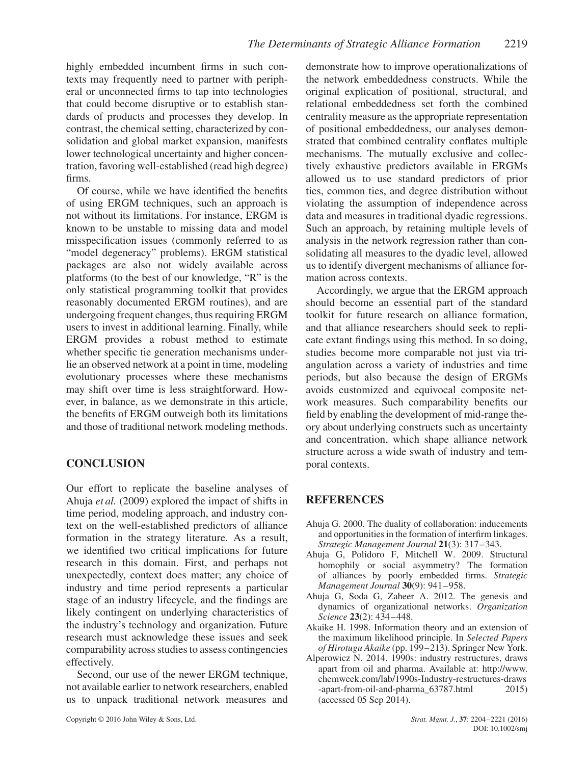highly embedded incumbent firms in such contexts may frequently need to partner with peripheral or unconnected firms to tap into technologies that could become disruptive or to establish standards of products and processes they develop. In contrast, the chemical setting, characterized by consolidation and global market expansion, manifests lower technological uncertainty and higher concentration, favoring well-established (read high degree) firms.

Of course, while we have identified the benefits of using ERGM techniques, such an approach is not without its limitations. For instance, ERGM is known to be unstable to missing data and model misspecification issues (commonly referred to as "model degeneracy" problems). ERGM statistical packages are also not widely available across platforms (to the best of our knowledge, "R" is the only statistical programming toolkit that provides reasonably documented ERGM routines), and are undergoing frequent changes, thus requiring ERGM users to invest in additional learning. Finally, while ERGM provides a robust method to estimate whether specific tie generation mechanisms underlie an observed network at a point in time, modeling evolutionary processes where these mechanisms may shift over time is less straightforward. However, in balance, as we demonstrate in this article, the benefits of ERGM outweigh both its limitations and those of traditional network modeling methods.

# **CONCLUSION**

Our effort to replicate the baseline analyses of Ahuja *et al.* (2009) explored the impact of shifts in time period, modeling approach, and industry context on the well-established predictors of alliance formation in the strategy literature. As a result, we identified two critical implications for future research in this domain. First, and perhaps not unexpectedly, context does matter; any choice of industry and time period represents a particular stage of an industry lifecycle, and the findings are likely contingent on underlying characteristics of the industry's technology and organization. Future research must acknowledge these issues and seek comparability across studies to assess contingencies effectively.

Second, our use of the newer ERGM technique, not available earlier to network researchers, enabled us to unpack traditional network measures and demonstrate how to improve operationalizations of the network embeddedness constructs. While the original explication of positional, structural, and relational embeddedness set forth the combined centrality measure as the appropriate representation of positional embeddedness, our analyses demonstrated that combined centrality conflates multiple mechanisms. The mutually exclusive and collectively exhaustive predictors available in ERGMs allowed us to use standard predictors of prior ties, common ties, and degree distribution without violating the assumption of independence across data and measures in traditional dyadic regressions. Such an approach, by retaining multiple levels of analysis in the network regression rather than consolidating all measures to the dyadic level, allowed us to identify divergent mechanisms of alliance formation across contexts.

Accordingly, we argue that the ERGM approach should become an essential part of the standard toolkit for future research on alliance formation, and that alliance researchers should seek to replicate extant findings using this method. In so doing, studies become more comparable not just via triangulation across a variety of industries and time periods, but also because the design of ERGMs avoids customized and equivocal composite network measures. Such comparability benefits our field by enabling the development of mid-range theory about underlying constructs such as uncertainty and concentration, which shape alliance network structure across a wide swath of industry and temporal contexts.

# **REFERENCES**

- Ahuja G. 2000. The duality of collaboration: inducements and opportunities in the formation of interfirm linkages. *Strategic Management Journal* **21**(3): 317–343.
- Ahuja G, Polidoro F, Mitchell W. 2009. Structural homophily or social asymmetry? The formation of alliances by poorly embedded firms. *Strategic Management Journal* **30**(9): 941–958.
- Ahuja G, Soda G, Zaheer A. 2012. The genesis and dynamics of organizational networks. *Organization Science* **23**(2): 434–448.
- Akaike H. 1998. Information theory and an extension of the maximum likelihood principle. In *Selected Papers of Hirotugu Akaike* (pp. 199–213). Springer New York.
- Alperowicz N. 2014. 1990s: industry restructures, draws apart from oil and pharma. Available at: http://www. chemweek.com/lab/1990s-Industry-restructures-draws -apart-from-oil-and-pharma\_63787.html 2015) (accessed 05 Sep 2014).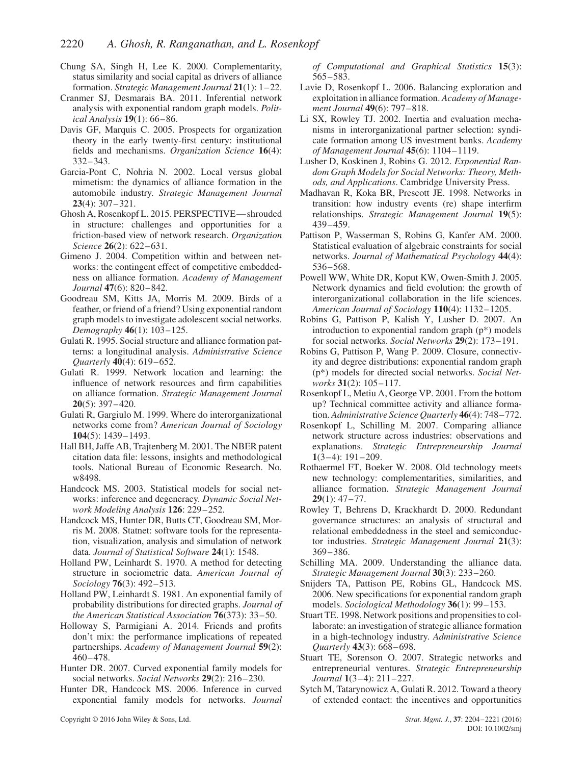- Chung SA, Singh H, Lee K. 2000. Complementarity, status similarity and social capital as drivers of alliance formation. *Strategic Management Journal* **21**(1): 1–22.
- Cranmer SJ, Desmarais BA. 2011. Inferential network analysis with exponential random graph models. *Political Analysis* **19**(1): 66–86.
- Davis GF, Marquis C. 2005. Prospects for organization theory in the early twenty-first century: institutional fields and mechanisms. *Organization Science* **16**(4): 332–343.
- Garcia-Pont C, Nohria N. 2002. Local versus global mimetism: the dynamics of alliance formation in the automobile industry. *Strategic Management Journal* **23**(4): 307–321.
- Ghosh A, Rosenkopf L. 2015. PERSPECTIVE—shrouded in structure: challenges and opportunities for a friction-based view of network research. *Organization Science* **26**(2): 622–631.
- Gimeno J. 2004. Competition within and between networks: the contingent effect of competitive embeddedness on alliance formation. *Academy of Management Journal* **47**(6): 820–842.
- Goodreau SM, Kitts JA, Morris M. 2009. Birds of a feather, or friend of a friend? Using exponential random graph models to investigate adolescent social networks. *Demography* **46**(1): 103–125.
- Gulati R. 1995. Social structure and alliance formation patterns: a longitudinal analysis. *Administrative Science Quarterly* **40**(4): 619–652.
- Gulati R. 1999. Network location and learning: the influence of network resources and firm capabilities on alliance formation. *Strategic Management Journal* **20**(5): 397–420.
- Gulati R, Gargiulo M. 1999. Where do interorganizational networks come from? *American Journal of Sociology* **104**(5): 1439–1493.
- Hall BH, Jaffe AB, Trajtenberg M. 2001. The NBER patent citation data file: lessons, insights and methodological tools. National Bureau of Economic Research. No. w8498.
- Handcock MS. 2003. Statistical models for social networks: inference and degeneracy. *Dynamic Social Network Modeling Analysis* **126**: 229–252.
- Handcock MS, Hunter DR, Butts CT, Goodreau SM, Morris M. 2008. Statnet: software tools for the representation, visualization, analysis and simulation of network data. *Journal of Statistical Software* **24**(1): 1548.
- Holland PW, Leinhardt S. 1970. A method for detecting structure in sociometric data. *American Journal of Sociology* **76**(3): 492–513.
- Holland PW, Leinhardt S. 1981. An exponential family of probability distributions for directed graphs. *Journal of the American Statistical Association* **76**(373): 33–50.
- Holloway S, Parmigiani A. 2014. Friends and profits don't mix: the performance implications of repeated partnerships. *Academy of Management Journal* **59**(2): 460–478.
- Hunter DR. 2007. Curved exponential family models for social networks. *Social Networks* **29**(2): 216–230.
- Hunter DR, Handcock MS. 2006. Inference in curved exponential family models for networks. *Journal*

Copyright © 2016 John Wiley & Sons, Ltd. *Strat. Mgmt. J.*, **37**: 2204–2221 (2016)

*of Computational and Graphical Statistics* **15**(3): 565–583.

- Lavie D, Rosenkopf L. 2006. Balancing exploration and exploitation in alliance formation. *Academy of Management Journal* **49**(6): 797–818.
- Li SX, Rowley TJ. 2002. Inertia and evaluation mechanisms in interorganizational partner selection: syndicate formation among US investment banks. *Academy of Management Journal* **45**(6): 1104–1119.
- Lusher D, Koskinen J, Robins G. 2012. *Exponential Random Graph Models for Social Networks: Theory, Methods, and Applications*. Cambridge University Press.
- Madhavan R, Koka BR, Prescott JE. 1998. Networks in transition: how industry events (re) shape interfirm relationships. *Strategic Management Journal* **19**(5): 439–459.
- Pattison P, Wasserman S, Robins G, Kanfer AM. 2000. Statistical evaluation of algebraic constraints for social networks. *Journal of Mathematical Psychology* **44**(4): 536–568.
- Powell WW, White DR, Koput KW, Owen-Smith J. 2005. Network dynamics and field evolution: the growth of interorganizational collaboration in the life sciences. *American Journal of Sociology* **110**(4): 1132–1205.
- Robins G, Pattison P, Kalish Y, Lusher D. 2007. An introduction to exponential random graph (p\*) models for social networks. *Social Networks* **29**(2): 173–191.
- Robins G, Pattison P, Wang P. 2009. Closure, connectivity and degree distributions: exponential random graph (p\*) models for directed social networks. *Social Networks* **31**(2): 105–117.
- Rosenkopf L, Metiu A, George VP. 2001. From the bottom up? Technical committee activity and alliance formation. *Administrative Science Quarterly* **46**(4): 748–772.
- Rosenkopf L, Schilling M. 2007. Comparing alliance network structure across industries: observations and explanations. *Strategic Entrepreneurship Journal* **1**(3–4): 191–209.
- Rothaermel FT, Boeker W. 2008. Old technology meets new technology: complementarities, similarities, and alliance formation. *Strategic Management Journal* **29**(1): 47–77.
- Rowley T, Behrens D, Krackhardt D. 2000. Redundant governance structures: an analysis of structural and relational embeddedness in the steel and semiconductor industries. *Strategic Management Journal* **21**(3): 369–386.
- Schilling MA. 2009. Understanding the alliance data. *Strategic Management Journal* **30**(3): 233–260.
- Snijders TA, Pattison PE, Robins GL, Handcock MS. 2006. New specifications for exponential random graph models. *Sociological Methodology* **36**(1): 99–153.
- Stuart TE. 1998. Network positions and propensities to collaborate: an investigation of strategic alliance formation in a high-technology industry. *Administrative Science Quarterly* **43**(3): 668–698.
- Stuart TE, Sorenson O. 2007. Strategic networks and entrepreneurial ventures. *Strategic Entrepreneurship Journal* **1**(3–4): 211–227.
- Sytch M, Tatarynowicz A, Gulati R. 2012. Toward a theory of extended contact: the incentives and opportunities